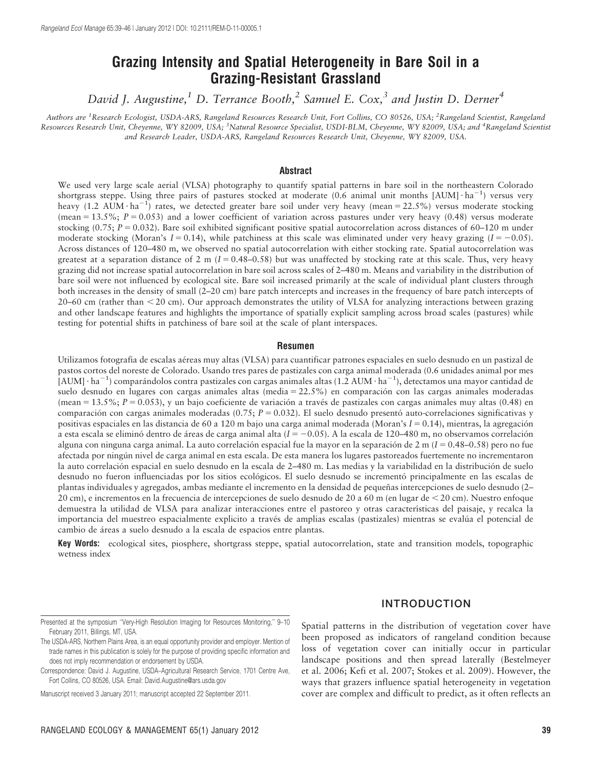# Grazing Intensity and Spatial Heterogeneity in Bare Soil in a Grazing-Resistant Grassland

David J. Augustine,<sup>1</sup> D. Terrance Booth,<sup>2</sup> Samuel E. Cox,<sup>3</sup> and Justin D. Derner<sup>4</sup>

Authors are <sup>1</sup>Research Ecologist, USDA-ARS, Rangeland Resources Research Unit, Fort Collins, CO 80526, USA; <sup>2</sup>Rangeland Scientist, Rangeland Resources Research Unit, Cheyenne, WY 82009, USA; <sup>3</sup>Natural Resource Specialist, USDI-BLM, Cheyenne, WY 82009, USA; and <sup>4</sup>Rangeland Scientist and Research Leader, USDA-ARS, Rangeland Resources Research Unit, Cheyenne, WY 82009, USA.

#### Abstract

We used very large scale aerial (VLSA) photography to quantify spatial patterns in bare soil in the northeastern Colorado shortgrass steppe. Using three pairs of pastures stocked at moderate (0.6 animal unit months [AUM]  $\cdot$  ha<sup>-1</sup>) versus very heavy (1.2 AUM  $\cdot$  ha<sup>-1</sup>) rates, we detected greater bare soil under very heavy (mean = 22.5%) versus moderate stocking (mean =  $13.5\%$ ;  $P = 0.053$ ) and a lower coefficient of variation across pastures under very heavy (0.48) versus moderate stocking  $(0.75; P = 0.032)$ . Bare soil exhibited significant positive spatial autocorrelation across distances of 60–120 m under moderate stocking (Moran's  $I = 0.14$ ), while patchiness at this scale was eliminated under very heavy grazing  $(I = -0.05)$ . Across distances of 120–480 m, we observed no spatial autocorrelation with either stocking rate. Spatial autocorrelation was greatest at a separation distance of 2 m  $(I = 0.48-0.58)$  but was unaffected by stocking rate at this scale. Thus, very heavy grazing did not increase spatial autocorrelation in bare soil across scales of 2–480 m. Means and variability in the distribution of bare soil were not influenced by ecological site. Bare soil increased primarily at the scale of individual plant clusters through both increases in the density of small (2–20 cm) bare patch intercepts and increases in the frequency of bare patch intercepts of  $20-60$  cm (rather than  $\leq 20$  cm). Our approach demonstrates the utility of VLSA for analyzing interactions between grazing and other landscape features and highlights the importance of spatially explicit sampling across broad scales (pastures) while testing for potential shifts in patchiness of bare soil at the scale of plant interspaces.

#### Resumen

Utilizamos fotografía de escalas aéreas muy altas (VLSA) para cuantificar patrones espaciales en suelo desnudo en un pastizal de pastos cortos del noreste de Colorado. Usando tres pares de pastizales con carga animal moderada (0.6 unidades animal por mes [AUM]  $\cdot$  ha<sup>-1</sup>) comparándolos contra pastizales con cargas animales altas (1.2 AUM  $\cdot$  ha<sup>-1</sup>), detectamos una mayor cantidad de suelo desnudo en lugares con cargas animales altas (media =  $22.5\%$ ) en comparación con las cargas animales moderadas (mean =  $13.5\%$ ; P = 0.053), y un bajo coeficiente de variación a través de pastizales con cargas animales muy altas (0.48) en comparación con cargas animales moderadas (0.75;  $P = 0.032$ ). El suelo desnudo presentó auto-correlaciones significativas y positivas espaciales en las distancia de 60 a 120 m bajo una carga animal moderada (Moran's  $I = 0.14$ ), mientras, la agregación a esta escala se eliminó dentro de áreas de carga animal alta  $(I = -0.05)$ . A la escala de 120–480 m, no observamos correlación alguna con ninguna carga animal. La auto correlación espacial fue la mayor en la separación de 2 m ( $I = 0.48-0.58$ ) pero no fue afectada por ningu´n nivel de carga animal en esta escala. De esta manera los lugares pastoreados fuertemente no incrementaron la auto correlación espacial en suelo desnudo en la escala de 2–480 m. Las medias y la variabilidad en la distribución de suelo desnudo no fueron influenciadas por los sitios ecológicos. El suelo desnudo se incrementó principalmente en las escalas de plantas individuales y agregados, ambas mediante el incremento en la densidad de pequeñas intercepciones de suelo desnudo (2–  $20 \text{ cm}$ ), e incrementos en la frecuencia de intercepciones de suelo desnudo de  $20$  a  $60 \text{ m}$  (en lugar de  $\leq 20 \text{ cm}$ ). Nuestro enfoque demuestra la utilidad de VLSA para analizar interacciones entre el pastoreo y otras características del paisaje, y recalca la importancia del muestreo espacialmente explicito a través de amplias escalas (pastizales) mientras se evalúa el potencial de cambio de áreas a suelo desnudo a la escala de espacios entre plantas.

Key Words: ecological sites, piosphere, shortgrass steppe, spatial autocorrelation, state and transition models, topographic wetness index

## INTRODUCTION

Spatial patterns in the distribution of vegetation cover have been proposed as indicators of rangeland condition because loss of vegetation cover can initially occur in particular landscape positions and then spread laterally (Bestelmeyer et al. 2006; Kefi et al. 2007; Stokes et al. 2009). However, the ways that grazers influence spatial heterogeneity in vegetation cover are complex and difficult to predict, as it often reflects an

Presented at the symposium ''Very-High Resolution Imaging for Resources Monitoring,'' 9–10 February 2011, Billings, MT, USA.

The USDA-ARS, Northern Plains Area, is an equal opportunity provider and employer. Mention of trade names in this publication is solely for the purpose of providing specific information and does not imply recommendation or endorsement by USDA.

Correspondence: David J. Augustine, USDA–Agricultural Research Service, 1701 Centre Ave, Fort Collins, CO 80526, USA. Email: David.Augustine@ars.usda.gov

Manuscript received 3 January 2011; manuscript accepted 22 September 2011.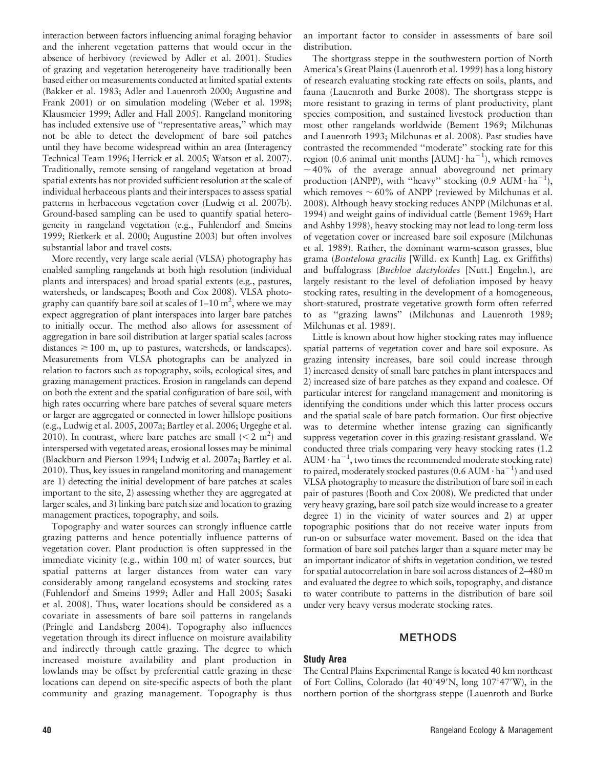interaction between factors influencing animal foraging behavior and the inherent vegetation patterns that would occur in the absence of herbivory (reviewed by Adler et al. 2001). Studies of grazing and vegetation heterogeneity have traditionally been based either on measurements conducted at limited spatial extents (Bakker et al. 1983; Adler and Lauenroth 2000; Augustine and Frank 2001) or on simulation modeling (Weber et al. 1998; Klausmeier 1999; Adler and Hall 2005). Rangeland monitoring has included extensive use of "representative areas," which may not be able to detect the development of bare soil patches until they have become widespread within an area (Interagency Technical Team 1996; Herrick et al. 2005; Watson et al. 2007). Traditionally, remote sensing of rangeland vegetation at broad spatial extents has not provided sufficient resolution at the scale of individual herbaceous plants and their interspaces to assess spatial patterns in herbaceous vegetation cover (Ludwig et al. 2007b). Ground-based sampling can be used to quantify spatial heterogeneity in rangeland vegetation (e.g., Fuhlendorf and Smeins 1999; Rietkerk et al. 2000; Augustine 2003) but often involves substantial labor and travel costs.

More recently, very large scale aerial (VLSA) photography has enabled sampling rangelands at both high resolution (individual plants and interspaces) and broad spatial extents (e.g., pastures, watersheds, or landscapes; Booth and Cox 2008). VLSA photography can quantify bare soil at scales of  $1-10 \text{ m}^2$ , where we may expect aggregration of plant interspaces into larger bare patches to initially occur. The method also allows for assessment of aggregation in bare soil distribution at larger spatial scales (across distances  $\geq 100$  m, up to pastures, watersheds, or landscapes). Measurements from VLSA photographs can be analyzed in relation to factors such as topography, soils, ecological sites, and grazing management practices. Erosion in rangelands can depend on both the extent and the spatial configuration of bare soil, with high rates occurring where bare patches of several square meters or larger are aggregated or connected in lower hillslope positions (e.g., Ludwig et al. 2005, 2007a; Bartley et al. 2006; Urgeghe et al. 2010). In contrast, where bare patches are small  $(< 2 \text{ m}^2)$  and interspersed with vegetated areas, erosional losses may be minimal (Blackburn and Pierson 1994; Ludwig et al. 2007a; Bartley et al. 2010). Thus, key issues in rangeland monitoring and management are 1) detecting the initial development of bare patches at scales important to the site, 2) assessing whether they are aggregated at larger scales, and 3) linking bare patch size and location to grazing management practices, topography, and soils.

Topography and water sources can strongly influence cattle grazing patterns and hence potentially influence patterns of vegetation cover. Plant production is often suppressed in the immediate vicinity (e.g., within 100 m) of water sources, but spatial patterns at larger distances from water can vary considerably among rangeland ecosystems and stocking rates (Fuhlendorf and Smeins 1999; Adler and Hall 2005; Sasaki et al. 2008). Thus, water locations should be considered as a covariate in assessments of bare soil patterns in rangelands (Pringle and Landsberg 2004). Topography also influences vegetation through its direct influence on moisture availability and indirectly through cattle grazing. The degree to which increased moisture availability and plant production in lowlands may be offset by preferential cattle grazing in these locations can depend on site-specific aspects of both the plant community and grazing management. Topography is thus

The shortgrass steppe in the southwestern portion of North America's Great Plains (Lauenroth et al. 1999) has a long history of research evaluating stocking rate effects on soils, plants, and fauna (Lauenroth and Burke 2008). The shortgrass steppe is more resistant to grazing in terms of plant productivity, plant species composition, and sustained livestock production than most other rangelands worldwide (Bement 1969; Milchunas and Lauenroth 1993; Milchunas et al. 2008). Past studies have contrasted the recommended ''moderate'' stocking rate for this region (0.6 animal unit months  $[{\rm AUM}] \cdot {\rm ha}^{-1}$ ), which removes  $\sim$  40% of the average annual aboveground net primary production (ANPP), with "heavy" stocking (0.9 AUM $\cdot$  ha<sup>-1</sup>), which removes  $\sim 60\%$  of ANPP (reviewed by Milchunas et al. 2008). Although heavy stocking reduces ANPP (Milchunas et al. 1994) and weight gains of individual cattle (Bement 1969; Hart and Ashby 1998), heavy stocking may not lead to long-term loss of vegetation cover or increased bare soil exposure (Milchunas et al. 1989). Rather, the dominant warm-season grasses, blue grama (Bouteloua gracilis [Willd. ex Kunth] Lag. ex Griffiths) and buffalograss (Buchloe dactyloides [Nutt.] Engelm.), are largely resistant to the level of defoliation imposed by heavy stocking rates, resulting in the development of a homogeneous, short-statured, prostrate vegetative growth form often referred to as ''grazing lawns'' (Milchunas and Lauenroth 1989; Milchunas et al. 1989).

Little is known about how higher stocking rates may influence spatial patterns of vegetation cover and bare soil exposure. As grazing intensity increases, bare soil could increase through 1) increased density of small bare patches in plant interspaces and 2) increased size of bare patches as they expand and coalesce. Of particular interest for rangeland management and monitoring is identifying the conditions under which this latter process occurs and the spatial scale of bare patch formation. Our first objective was to determine whether intense grazing can significantly suppress vegetation cover in this grazing-resistant grassland. We conducted three trials comparing very heavy stocking rates (1.2  $AUM \cdot ha^{-1}$ , two times the recommended moderate stocking rate) to paired, moderately stocked pastures (0.6 AUM  $\cdot$  ha $^{-1}$ ) and used VLSA photography to measure the distribution of bare soil in each pair of pastures (Booth and Cox 2008). We predicted that under very heavy grazing, bare soil patch size would increase to a greater degree 1) in the vicinity of water sources and 2) at upper topographic positions that do not receive water inputs from run-on or subsurface water movement. Based on the idea that formation of bare soil patches larger than a square meter may be an important indicator of shifts in vegetation condition, we tested for spatial autocorrelation in bare soil across distances of 2–480 m and evaluated the degree to which soils, topography, and distance to water contribute to patterns in the distribution of bare soil under very heavy versus moderate stocking rates.

## METHODS

## Study Area

The Central Plains Experimental Range is located 40 km northeast of Fort Collins, Colorado (lat  $40^{\circ}49'N$ , long  $107^{\circ}47'W$ ), in the northern portion of the shortgrass steppe (Lauenroth and Burke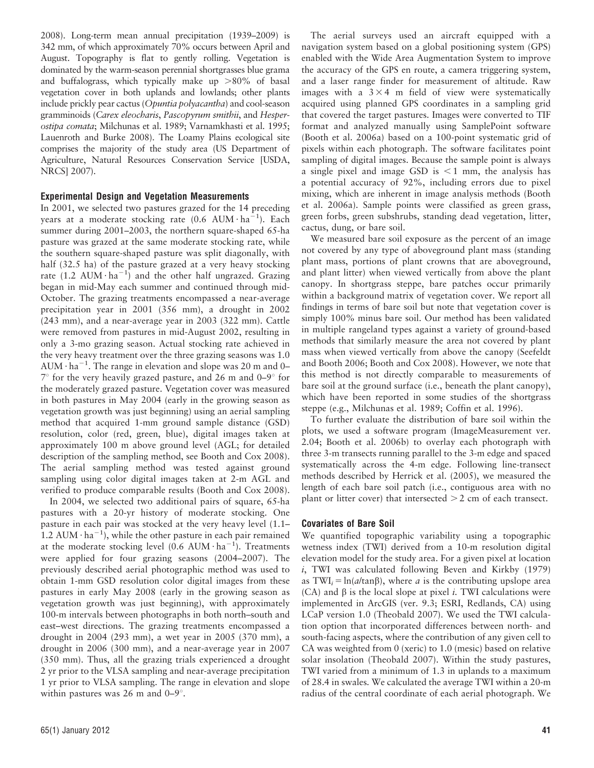2008). Long-term mean annual precipitation (1939–2009) is 342 mm, of which approximately 70% occurs between April and August. Topography is flat to gently rolling. Vegetation is dominated by the warm-season perennial shortgrasses blue grama and buffalograss, which typically make up  $>80\%$  of basal vegetation cover in both uplands and lowlands; other plants include prickly pear cactus (Opuntia polyacantha) and cool-season gramminoids (Carex eleocharis, Pascopyrum smithii, and Hesperostipa comata; Milchunas et al. 1989; Varnamkhasti et al. 1995; Lauenroth and Burke 2008). The Loamy Plains ecological site comprises the majority of the study area (US Department of Agriculture, Natural Resources Conservation Service [USDA, NRCS] 2007).

## Experimental Design and Vegetation Measurements

In 2001, we selected two pastures grazed for the 14 preceding years at a moderate stocking rate (0.6 AUM $\cdot$  ha<sup>-1</sup>). Each summer during 2001–2003, the northern square-shaped 65-ha pasture was grazed at the same moderate stocking rate, while the southern square-shaped pasture was split diagonally, with half (32.5 ha) of the pasture grazed at a very heavy stocking rate (1.2 AUM $\cdot$ ha<sup>-1</sup>) and the other half ungrazed. Grazing began in mid-May each summer and continued through mid-October. The grazing treatments encompassed a near-average precipitation year in 2001 (356 mm), a drought in 2002 (243 mm), and a near-average year in 2003 (322 mm). Cattle were removed from pastures in mid-August 2002, resulting in only a 3-mo grazing season. Actual stocking rate achieved in the very heavy treatment over the three grazing seasons was 1.0  $AUM·ha^{-1}$ . The range in elevation and slope was 20 m and 0–  $7^{\circ}$  for the very heavily grazed pasture, and 26 m and 0–9 $^{\circ}$  for the moderately grazed pasture. Vegetation cover was measured in both pastures in May 2004 (early in the growing season as vegetation growth was just beginning) using an aerial sampling method that acquired 1-mm ground sample distance (GSD) resolution, color (red, green, blue), digital images taken at approximately 100 m above ground level (AGL; for detailed description of the sampling method, see Booth and Cox 2008). The aerial sampling method was tested against ground sampling using color digital images taken at 2-m AGL and verified to produce comparable results (Booth and Cox 2008).

In 2004, we selected two additional pairs of square, 65-ha pastures with a 20-yr history of moderate stocking. One pasture in each pair was stocked at the very heavy level (1.1– 1.2 AUM $\cdot$  ha<sup>-1</sup>), while the other pasture in each pair remained at the moderate stocking level (0.6 AUM $\cdot$  ha<sup>-1</sup>). Treatments were applied for four grazing seasons (2004–2007). The previously described aerial photographic method was used to obtain 1-mm GSD resolution color digital images from these pastures in early May 2008 (early in the growing season as vegetation growth was just beginning), with approximately 100-m intervals between photographs in both north–south and east–west directions. The grazing treatments encompassed a drought in 2004 (293 mm), a wet year in 2005 (370 mm), a drought in 2006 (300 mm), and a near-average year in 2007 (350 mm). Thus, all the grazing trials experienced a drought 2 yr prior to the VLSA sampling and near-average precipitation 1 yr prior to VLSA sampling. The range in elevation and slope within pastures was 26 m and  $0-9^\circ$ .

The aerial surveys used an aircraft equipped with a navigation system based on a global positioning system (GPS) enabled with the Wide Area Augmentation System to improve the accuracy of the GPS en route, a camera triggering system, and a laser range finder for measurement of altitude. Raw images with a  $3 \times 4$  m field of view were systematically acquired using planned GPS coordinates in a sampling grid that covered the target pastures. Images were converted to TIF format and analyzed manually using SamplePoint software (Booth et al. 2006a) based on a 100-point systematic grid of pixels within each photograph. The software facilitates point sampling of digital images. Because the sample point is always a single pixel and image GSD is  $\leq 1$  mm, the analysis has a potential accuracy of 92%, including errors due to pixel mixing, which are inherent in image analysis methods (Booth et al. 2006a). Sample points were classified as green grass, green forbs, green subshrubs, standing dead vegetation, litter, cactus, dung, or bare soil.

We measured bare soil exposure as the percent of an image not covered by any type of aboveground plant mass (standing plant mass, portions of plant crowns that are aboveground, and plant litter) when viewed vertically from above the plant canopy. In shortgrass steppe, bare patches occur primarily within a background matrix of vegetation cover. We report all findings in terms of bare soil but note that vegetation cover is simply 100% minus bare soil. Our method has been validated in multiple rangeland types against a variety of ground-based methods that similarly measure the area not covered by plant mass when viewed vertically from above the canopy (Seefeldt and Booth 2006; Booth and Cox 2008). However, we note that this method is not directly comparable to measurements of bare soil at the ground surface (i.e., beneath the plant canopy), which have been reported in some studies of the shortgrass steppe (e.g., Milchunas et al. 1989; Coffin et al. 1996).

To further evaluate the distribution of bare soil within the plots, we used a software program (ImageMeasurement ver. 2.04; Booth et al. 2006b) to overlay each photograph with three 3-m transects running parallel to the 3-m edge and spaced systematically across the 4-m edge. Following line-transect methods described by Herrick et al. (2005), we measured the length of each bare soil patch (i.e., contiguous area with no plant or litter cover) that intersected  $>$  2 cm of each transect.

#### Covariates of Bare Soil

We quantified topographic variability using a topographic wetness index (TWI) derived from a 10-m resolution digital elevation model for the study area. For a given pixel at location i, TWI was calculated following Beven and Kirkby (1979) as TWI<sub>i</sub> = ln(*a*/tan<sub>β</sub>), where *a* is the contributing upslope area (CA) and  $\beta$  is the local slope at pixel *i*. TWI calculations were implemented in ArcGIS (ver. 9.3; ESRI, Redlands, CA) using LCaP version 1.0 (Theobald 2007). We used the TWI calculation option that incorporated differences between north- and south-facing aspects, where the contribution of any given cell to CA was weighted from 0 (xeric) to 1.0 (mesic) based on relative solar insolation (Theobald 2007). Within the study pastures, TWI varied from a minimum of 1.3 in uplands to a maximum of 28.4 in swales. We calculated the average TWI within a 20-m radius of the central coordinate of each aerial photograph. We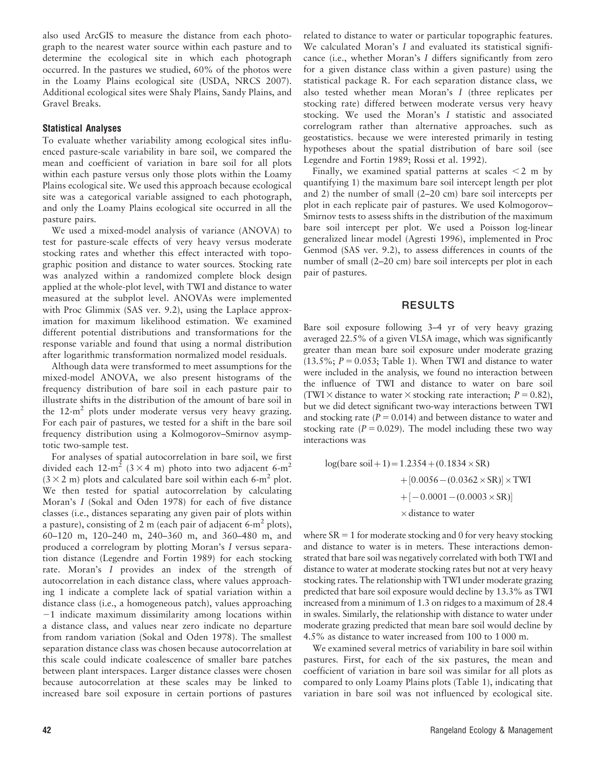also used ArcGIS to measure the distance from each photograph to the nearest water source within each pasture and to determine the ecological site in which each photograph occurred. In the pastures we studied, 60% of the photos were in the Loamy Plains ecological site (USDA, NRCS 2007). Additional ecological sites were Shaly Plains, Sandy Plains, and Gravel Breaks.

## Statistical Analyses

To evaluate whether variability among ecological sites influenced pasture-scale variability in bare soil, we compared the mean and coefficient of variation in bare soil for all plots within each pasture versus only those plots within the Loamy Plains ecological site. We used this approach because ecological site was a categorical variable assigned to each photograph, and only the Loamy Plains ecological site occurred in all the pasture pairs.

We used a mixed-model analysis of variance (ANOVA) to test for pasture-scale effects of very heavy versus moderate stocking rates and whether this effect interacted with topographic position and distance to water sources. Stocking rate was analyzed within a randomized complete block design applied at the whole-plot level, with TWI and distance to water measured at the subplot level. ANOVAs were implemented with Proc Glimmix (SAS ver. 9.2), using the Laplace approximation for maximum likelihood estimation. We examined different potential distributions and transformations for the response variable and found that using a normal distribution after logarithmic transformation normalized model residuals.

Although data were transformed to meet assumptions for the mixed-model ANOVA, we also present histograms of the frequency distribution of bare soil in each pasture pair to illustrate shifts in the distribution of the amount of bare soil in the  $12-m^2$  plots under moderate versus very heavy grazing. For each pair of pastures, we tested for a shift in the bare soil frequency distribution using a Kolmogorov–Smirnov asymptotic two-sample test.

For analyses of spatial autocorrelation in bare soil, we first divided each 12-m<sup>2</sup> ( $3 \times 4$  m) photo into two adjacent 6-m<sup>2</sup>  $(3 \times 2 \text{ m})$  plots and calculated bare soil within each 6-m<sup>2</sup> plot. We then tested for spatial autocorrelation by calculating Moran's I (Sokal and Oden 1978) for each of five distance classes (i.e., distances separating any given pair of plots within a pasture), consisting of 2 m (each pair of adjacent 6- $m^2$  plots), 60–120 m, 120–240 m, 240–360 m, and 360–480 m, and produced a correlogram by plotting Moran's I versus separation distance (Legendre and Fortin 1989) for each stocking rate. Moran's I provides an index of the strength of autocorrelation in each distance class, where values approaching 1 indicate a complete lack of spatial variation within a distance class (i.e., a homogeneous patch), values approaching  $-1$  indicate maximum dissimilarity among locations within a distance class, and values near zero indicate no departure from random variation (Sokal and Oden 1978). The smallest separation distance class was chosen because autocorrelation at this scale could indicate coalescence of smaller bare patches between plant interspaces. Larger distance classes were chosen because autocorrelation at these scales may be linked to increased bare soil exposure in certain portions of pastures

related to distance to water or particular topographic features. We calculated Moran's I and evaluated its statistical significance (i.e., whether Moran's I differs significantly from zero for a given distance class within a given pasture) using the statistical package R. For each separation distance class, we also tested whether mean Moran's I (three replicates per stocking rate) differed between moderate versus very heavy stocking. We used the Moran's I statistic and associated correlogram rather than alternative approaches. such as geostatistics. because we were interested primarily in testing hypotheses about the spatial distribution of bare soil (see Legendre and Fortin 1989; Rossi et al. 1992).

Finally, we examined spatial patterns at scales  $\leq 2$  m by quantifying 1) the maximum bare soil intercept length per plot and 2) the number of small (2–20 cm) bare soil intercepts per plot in each replicate pair of pastures. We used Kolmogorov– Smirnov tests to assess shifts in the distribution of the maximum bare soil intercept per plot. We used a Poisson log-linear generalized linear model (Agresti 1996), implemented in Proc Genmod (SAS ver. 9.2), to assess differences in counts of the number of small (2–20 cm) bare soil intercepts per plot in each pair of pastures.

## RESULTS

Bare soil exposure following 3–4 yr of very heavy grazing averaged 22.5% of a given VLSA image, which was significantly greater than mean bare soil exposure under moderate grazing  $(13.5\%; P = 0.053;$  Table 1). When TWI and distance to water were included in the analysis, we found no interaction between the influence of TWI and distance to water on bare soil (TWI  $\times$  distance to water  $\times$  stocking rate interaction;  $P = 0.82$ ), but we did detect significant two-way interactions between TWI and stocking rate  $(P = 0.014)$  and between distance to water and stocking rate ( $P = 0.029$ ). The model including these two way interactions was

log(bare soil + 1) = 
$$
1.2354 + (0.1834 \times SR)
$$
  
+  $[0.0056 - (0.0362 \times SR)] \times TWI$   
+  $[-0.0001 - (0.0003 \times SR)]$   
× distance to water

where  $SR = 1$  for moderate stocking and 0 for very heavy stocking and distance to water is in meters. These interactions demonstrated that bare soil was negatively correlated with both TWI and distance to water at moderate stocking rates but not at very heavy stocking rates. The relationship with TWI under moderate grazing predicted that bare soil exposure would decline by 13.3% as TWI increased from a minimum of 1.3 on ridges to a maximum of 28.4 in swales. Similarly, the relationship with distance to water under moderate grazing predicted that mean bare soil would decline by 4.5% as distance to water increased from 100 to 1 000 m.

We examined several metrics of variability in bare soil within pastures. First, for each of the six pastures, the mean and coefficient of variation in bare soil was similar for all plots as compared to only Loamy Plains plots (Table 1), indicating that variation in bare soil was not influenced by ecological site.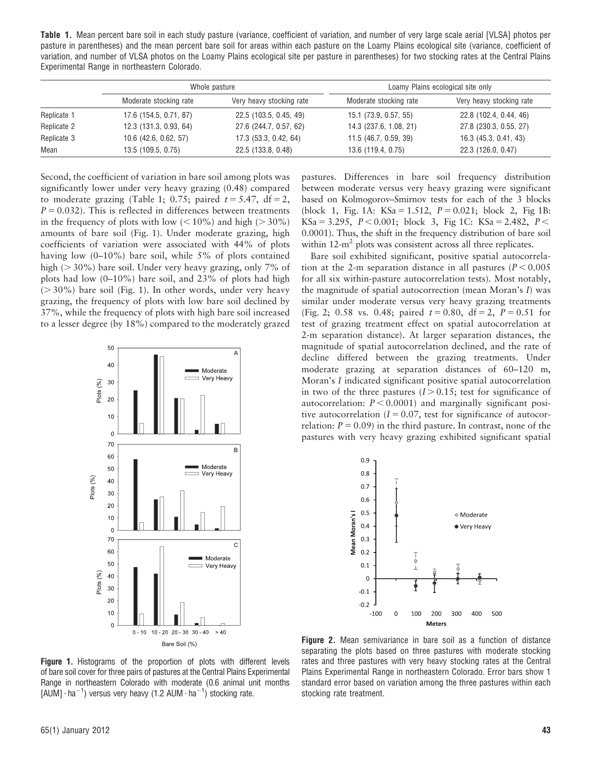Table 1. Mean percent bare soil in each study pasture (variance, coefficient of variation, and number of very large scale aerial [VLSA] photos per pasture in parentheses) and the mean percent bare soil for areas within each pasture on the Loamy Plains ecological site (variance, coefficient of variation, and number of VLSA photos on the Loamy Plains ecological site per pasture in parentheses) for two stocking rates at the Central Plains Experimental Range in northeastern Colorado.

|             | Whole pasture           |                          | Loamy Plains ecological site only |                          |
|-------------|-------------------------|--------------------------|-----------------------------------|--------------------------|
|             | Moderate stocking rate  | Very heavy stocking rate | Moderate stocking rate            | Very heavy stocking rate |
| Replicate 1 | 17.6 (154.5, 0.71, 87)  | 22.5 (103.5, 0.45, 49)   | 15.1 (73.9, 0.57, 55)             | 22.8 (102.4, 0.44, 46)   |
| Replicate 2 | 12.3 (131.3, 0.93, 64)  | 27.6 (244.7, 0.57, 62)   | 14.3 (237.6, 1.08, 21)            | 27.8 (230.3, 0.55, 27)   |
| Replicate 3 | $10.6$ (42.6, 0.62, 57) | 17.3 (53.3, 0.42, 64)    | 11.5 (46.7, 0.59, 39)             | 16.3 (45.3, 0.41, 43)    |
| Mean        | 13.5 (109.5, 0.75)      | 22.5 (133.8, 0.48)       | 13.6 (119.4, 0.75)                | 22.3 (126.0, 0.47)       |

Second, the coefficient of variation in bare soil among plots was significantly lower under very heavy grazing (0.48) compared to moderate grazing (Table 1; 0.75; paired  $t = 5.47$ , df = 2,  $P = 0.032$ ). This is reflected in differences between treatments in the frequency of plots with low  $(< 10\%$ ) and high ( $> 30\%$ ) amounts of bare soil (Fig. 1). Under moderate grazing, high coefficients of variation were associated with 44% of plots having low (0–10%) bare soil, while 5% of plots contained high ( $>$  30%) bare soil. Under very heavy grazing, only 7% of plots had low (0–10%) bare soil, and 23% of plots had high  $(>30\%)$  bare soil (Fig. 1). In other words, under very heavy grazing, the frequency of plots with low bare soil declined by 37%, while the frequency of plots with high bare soil increased to a lesser degree (by 18%) compared to the moderately grazed



pastures. Differences in bare soil frequency distribution between moderate versus very heavy grazing were significant based on Kolmogorov–Smirnov tests for each of the 3 blocks (block 1, Fig. 1A:  $KSa = 1.512$ ,  $P = 0.021$ ; block 2, Fig 1B:  $\text{KSa} = 3.295, \quad P < 0.001; \text{ block } 3, \text{ Fig 1C: } \text{KSa} = 2.482, \quad P <$ 0.0001). Thus, the shift in the frequency distribution of bare soil within 12-m<sup>2</sup> plots was consistent across all three replicates.

Bare soil exhibited significant, positive spatial autocorrelation at the 2-m separation distance in all pastures ( $P < 0.005$ ) for all six within-pasture autocorrelation tests). Most notably, the magnitude of spatial autocorrection (mean Moran's I) was similar under moderate versus very heavy grazing treatments (Fig. 2; 0.58 vs. 0.48; paired  $t = 0.80$ , df = 2, P = 0.51 for test of grazing treatment effect on spatial autocorrelation at 2-m separation distance). At larger separation distances, the magnitude of spatial autocorrelation declined, and the rate of decline differed between the grazing treatments. Under moderate grazing at separation distances of 60–120 m, Moran's I indicated significant positive spatial autocorrelation in two of the three pastures  $(I > 0.15$ ; test for significance of autocorrelation:  $P < 0.0001$ ) and marginally significant positive autocorrelation  $(I = 0.07$ , test for significance of autocorrelation:  $P = 0.09$ ) in the third pasture. In contrast, none of the pastures with very heavy grazing exhibited significant spatial



Figure 1. Histograms of the proportion of plots with different levels of bare soil cover for three pairs of pastures at the Central Plains Experimental Range in northeastern Colorado with moderate (0.6 animal unit months [AUM] $\cdot$  ha<sup>-1</sup>) versus very heavy (1.2 AUM $\cdot$  ha<sup>-1</sup>) stocking rate.

Figure 2. Mean semivariance in bare soil as a function of distance separating the plots based on three pastures with moderate stocking rates and three pastures with very heavy stocking rates at the Central Plains Experimental Range in northeastern Colorado. Error bars show 1 standard error based on variation among the three pastures within each stocking rate treatment.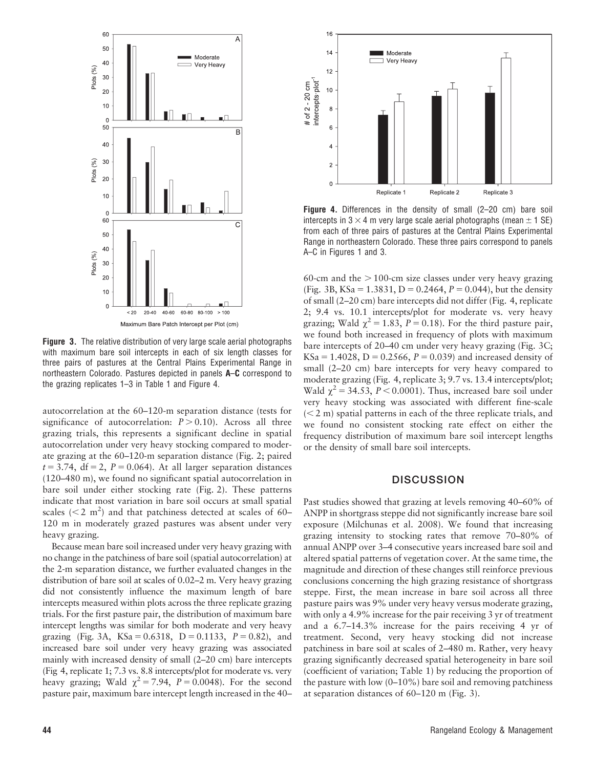

Figure 3. The relative distribution of very large scale aerial photographs with maximum bare soil intercepts in each of six length classes for three pairs of pastures at the Central Plains Experimental Range in northeastern Colorado. Pastures depicted in panels A–C correspond to the grazing replicates 1–3 in Table 1 and Figure 4.

autocorrelation at the 60–120-m separation distance (tests for significance of autocorrelation:  $P > 0.10$ ). Across all three grazing trials, this represents a significant decline in spatial autocorrelation under very heavy stocking compared to moderate grazing at the 60–120-m separation distance (Fig. 2; paired  $t = 3.74$ , df = 2, P = 0.064). At all larger separation distances (120–480 m), we found no significant spatial autocorrelation in bare soil under either stocking rate (Fig. 2). These patterns indicate that most variation in bare soil occurs at small spatial scales ( $<$  2 m<sup>2</sup>) and that patchiness detected at scales of 60– 120 m in moderately grazed pastures was absent under very heavy grazing.

Because mean bare soil increased under very heavy grazing with no change in the patchiness of bare soil (spatial autocorrelation) at the 2-m separation distance, we further evaluated changes in the distribution of bare soil at scales of 0.02–2 m. Very heavy grazing did not consistently influence the maximum length of bare intercepts measured within plots across the three replicate grazing trials. For the first pasture pair, the distribution of maximum bare intercept lengths was similar for both moderate and very heavy grazing (Fig. 3A, KSa = 0.6318, D = 0.1133,  $P = 0.82$ ), and increased bare soil under very heavy grazing was associated mainly with increased density of small (2–20 cm) bare intercepts (Fig 4, replicate 1; 7.3 vs. 8.8 intercepts/plot for moderate vs. very heavy grazing; Wald  $\chi^2 = 7.94$ ,  $P = 0.0048$ ). For the second pasture pair, maximum bare intercept length increased in the 40–



Figure 4. Differences in the density of small (2–20 cm) bare soil intercepts in  $3 \times 4$  m very large scale aerial photographs (mean  $\pm$  1 SE) from each of three pairs of pastures at the Central Plains Experimental Range in northeastern Colorado. These three pairs correspond to panels A–C in Figures 1 and 3.

60-cm and the  $> 100$ -cm size classes under very heavy grazing (Fig. 3B, KSa = 1.3831, D = 0.2464, P = 0.044), but the density of small (2–20 cm) bare intercepts did not differ (Fig. 4, replicate 2; 9.4 vs. 10.1 intercepts/plot for moderate vs. very heavy grazing; Wald  $\chi^2$  = 1.83, P = 0.18). For the third pasture pair, we found both increased in frequency of plots with maximum bare intercepts of 20–40 cm under very heavy grazing (Fig. 3C;  $KSa = 1.4028$ ,  $D = 0.2566$ ,  $P = 0.039$ ) and increased density of small (2–20 cm) bare intercepts for very heavy compared to moderate grazing (Fig. 4, replicate 3; 9.7 vs. 13.4 intercepts/plot; Wald  $\chi^2$  = 34.53, P < 0.0001). Thus, increased bare soil under very heavy stocking was associated with different fine-scale  $(< 2 m)$  spatial patterns in each of the three replicate trials, and we found no consistent stocking rate effect on either the frequency distribution of maximum bare soil intercept lengths or the density of small bare soil intercepts.

# **DISCUSSION**

Past studies showed that grazing at levels removing 40–60% of ANPP in shortgrass steppe did not significantly increase bare soil exposure (Milchunas et al. 2008). We found that increasing grazing intensity to stocking rates that remove 70–80% of annual ANPP over 3–4 consecutive years increased bare soil and altered spatial patterns of vegetation cover. At the same time, the magnitude and direction of these changes still reinforce previous conclusions concerning the high grazing resistance of shortgrass steppe. First, the mean increase in bare soil across all three pasture pairs was 9% under very heavy versus moderate grazing, with only a 4.9% increase for the pair receiving 3 yr of treatment and a 6.7–14.3% increase for the pairs receiving 4 yr of treatment. Second, very heavy stocking did not increase patchiness in bare soil at scales of 2–480 m. Rather, very heavy grazing significantly decreased spatial heterogeneity in bare soil (coefficient of variation; Table 1) by reducing the proportion of the pasture with low (0–10%) bare soil and removing patchiness at separation distances of 60–120 m (Fig. 3).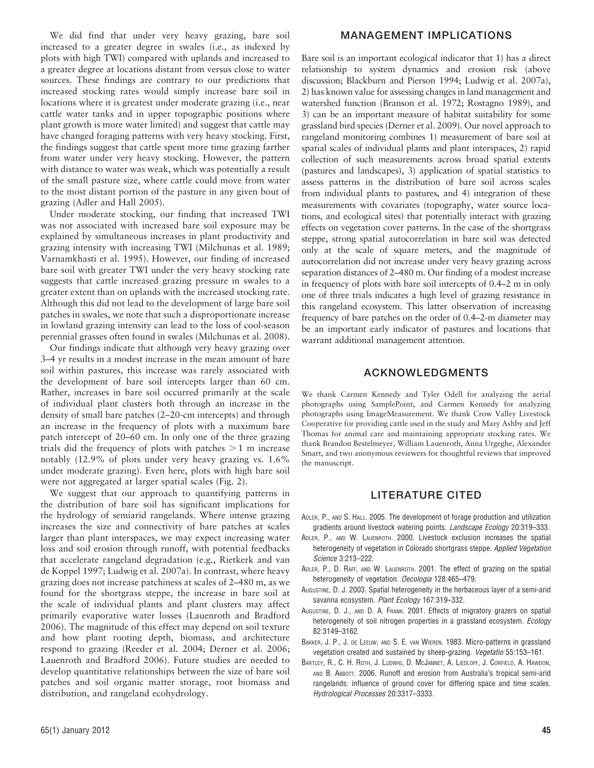We did find that under very heavy grazing, bare soil increased to a greater degree in swales (i.e., as indexed by plots with high TWI) compared with uplands and increased to a greater degree at locations distant from versus close to water sources. These findings are contrary to our predictions that increased stocking rates would simply increase bare soil in locations where it is greatest under moderate grazing (i.e., near cattle water tanks and in upper topographic positions where plant growth is more water limited) and suggest that cattle may have changed foraging patterns with very heavy stocking. First, the findings suggest that cattle spent more time grazing farther from water under very heavy stocking. However, the pattern with distance to water was weak, which was potentially a result of the small pasture size, where cattle could move from water to the most distant portion of the pasture in any given bout of grazing (Adler and Hall 2005).

Under moderate stocking, our finding that increased TWI was not associated with increased bare soil exposure may be explained by simultaneous increases in plant productivity and grazing intensity with increasing TWI (Milchunas et al. 1989; Varnamkhasti et al. 1995). However, our finding of increased bare soil with greater TWI under the very heavy stocking rate suggests that cattle increased grazing pressure in swales to a greater extent than on uplands with the increased stocking rate. Although this did not lead to the development of large bare soil patches in swales, we note that such a disproportionate increase in lowland grazing intensity can lead to the loss of cool-season perennial grasses often found in swales (Milchunas et al. 2008).

Our findings indicate that although very heavy grazing over 3–4 yr results in a modest increase in the mean amount of bare soil within pastures, this increase was rarely associated with the development of bare soil intercepts larger than 60 cm. Rather, increases in bare soil occurred primarily at the scale of individual plant clusters both through an increase in the density of small bare patches (2–20-cm intercepts) and through an increase in the frequency of plots with a maximum bare patch intercept of 20–60 cm. In only one of the three grazing trials did the frequency of plots with patches  $>1$  m increase notably (12.9% of plots under very heavy grazing vs. 1.6% under moderate grazing). Even here, plots with high bare soil were not aggregated at larger spatial scales (Fig. 2).

We suggest that our approach to quantifying patterns in the distribution of bare soil has significant implications for the hydrology of semiarid rangelands. Where intense grazing increases the size and connectivity of bare patches at scales larger than plant interspaces, we may expect increasing water loss and soil erosion through runoff, with potential feedbacks that accelerate rangeland degradation (e.g., Rietkerk and van de Koppel 1997; Ludwig et al. 2007a). In contrast, where heavy grazing does not increase patchiness at scales of 2–480 m, as we found for the shortgrass steppe, the increase in bare soil at the scale of individual plants and plant clusters may affect primarily evaporative water losses (Lauenroth and Bradford 2006). The magnitude of this effect may depend on soil texture and how plant rooting depth, biomass, and architecture respond to grazing (Reeder et al. 2004; Derner et al. 2006; Lauenroth and Bradford 2006). Future studies are needed to develop quantitative relationships between the size of bare soil patches and soil organic matter storage, root biomass and distribution, and rangeland ecohydrology.

## MANAGEMENT IMPLICATIONS

Bare soil is an important ecological indicator that 1) has a direct relationship to system dynamics and erosion risk (above discussion; Blackburn and Pierson 1994; Ludwig et al. 2007a), 2) has known value for assessing changes in land management and watershed function (Branson et al. 1972; Rostagno 1989), and 3) can be an important measure of habitat suitability for some grassland bird species (Derner et al. 2009). Our novel approach to rangeland monitoring combines 1) measurement of bare soil at spatial scales of individual plants and plant interspaces, 2) rapid collection of such measurements across broad spatial extents (pastures and landscapes), 3) application of spatial statistics to assess patterns in the distribution of bare soil across scales from individual plants to pastures, and 4) integration of these measurements with covariates (topography, water source locations, and ecological sites) that potentially interact with grazing effects on vegetation cover patterns. In the case of the shortgrass steppe, strong spatial autocorrelation in bare soil was detected only at the scale of square meters, and the magnitude of autocorrelation did not increase under very heavy grazing across separation distances of 2–480 m. Our finding of a modest increase in frequency of plots with bare soil intercepts of 0.4–2 m in only one of three trials indicates a high level of grazing resistance in this rangeland ecosystem. This latter observation of increasing frequency of bare patches on the order of 0.4–2-m diameter may be an important early indicator of pastures and locations that warrant additional management attention.

# ACKNOWLEDGMENTS

We thank Carmen Kennedy and Tyler Odell for analyzing the aerial photographs using SamplePoint, and Carmen Kennedy for analyzing photographs using ImageMeasurement. We thank Crow Valley Livestock Cooperative for providing cattle used in the study and Mary Ashby and Jeff Thomas for animal care and maintaining appropriate stocking rates. We thank Brandon Bestelmeyer, William Lauenroth, Anna Urgeghe, Alexander Smart, and two anonymous reviewers for thoughtful reviews that improved the manuscript.

# LITERATURE CITED

- ADLER, P., AND S. HALL. 2005. The development of forage production and utilization gradients around livestock watering points. Landscape Ecology 20:319–333.
- ADLER, P., AND W. LAUENROTH. 2000. Livestock exclusion increases the spatial heterogeneity of vegetation in Colorado shortgrass steppe. Applied Vegetation Science 3:213–222.
- ADLER, P., D. RAFF, AND W. LAUENROTH. 2001. The effect of grazing on the spatial heterogeneity of vegetation. Oecologia 128:465–479.
- AUGUSTINE, D. J. 2003. Spatial heterogeneity in the herbaceous layer of a semi-arid savanna ecosystem. Plant Ecology 167:319-332.
- AUGUSTINE, D. J., AND D. A. FRANK. 2001. Effects of migratory grazers on spatial heterogeneity of soil nitrogen properties in a grassland ecosystem. Ecology 82:3149–3162.
- BAKKER, J. P., J. DE LEEUW, AND S. E. VAN WIEREN. 1983. Micro-patterns in grassland vegetation created and sustained by sheep-grazing. Vegetatio 55:153–161.
- BARTLEY, R., C. H. ROTH, J. LUDWIG, D. MCJANNET, A. LIEDLOFF, J. CORFIELD, A. HAWDON, AND B. ABBOTT. 2006. Runoff and erosion from Australia's tropical semi-arid rangelands: influence of ground cover for differing space and time scales. Hydrological Processes 20:3317–3333.